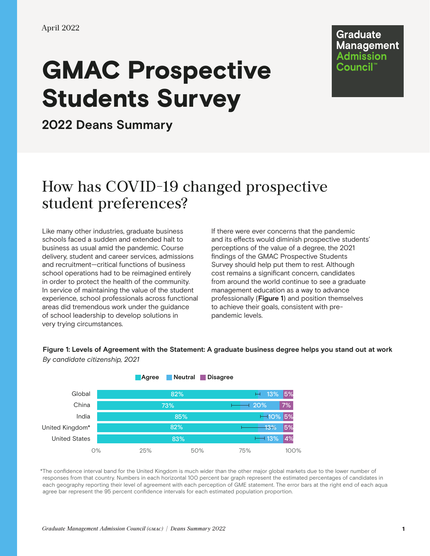# GMAC Prospective Students Survey

**Graduate Management** Admission Council"

**2022 Deans Summary**

# How has COVID-19 changed prospective student preferences?

Like many other industries, graduate business schools faced a sudden and extended halt to business as usual amid the pandemic. Course delivery, student and career services, admissions and recruitment—critical functions of business school operations had to be reimagined entirely in order to protect the health of the community. In service of maintaining the value of the student experience, school professionals across functional areas did tremendous work under the guidance of school leadership to develop solutions in very trying circumstances.

If there were ever concerns that the pandemic and its effects would diminish prospective students' perceptions of the value of a degree, the 2021 findings of the GMAC Prospective Students Survey should help put them to rest. Although cost remains a significant concern, candidates from around the world continue to see a graduate management education as a way to advance professionally (**Figure 1**) and position themselves to achieve their goals, consistent with prepandemic levels.

**Figure 1: Levels of Agreement with the Statement: A graduate business degree helps you stand out at work** *By candidate citizenship, 2021*



\*The confidence interval band for the United Kingdom is much wider than the other major global markets due to the lower number of responses from that country. Numbers in each horizontal 100 percent bar graph represent the estimated percentages of candidates in each geography reporting their level of agreement with each perception of GME statement. The error bars at the right end of each aqua agree bar represent the 95 percent confidence intervals for each estimated population proportion.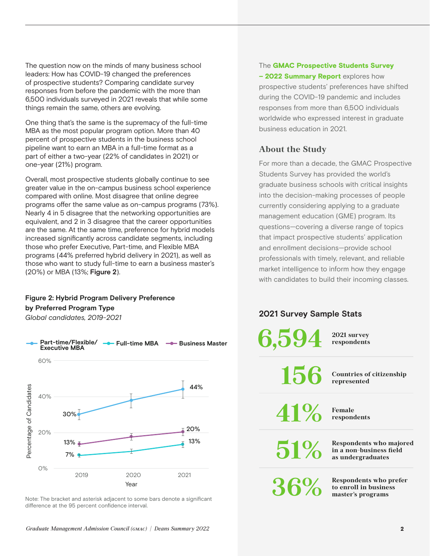The question now on the minds of many business school leaders: How has COVID-19 changed the preferences of prospective students? Comparing candidate survey responses from before the pandemic with the more than 6,500 individuals surveyed in 2021 reveals that while some things remain the same, others are evolving.

One thing that's the same is the supremacy of the full-time MBA as the most popular program option. More than 40 percent of prospective students in the business school pipeline want to earn an MBA in a full-time format as a part of either a two-year (22% of candidates in 2021) or one-year (21%) program.

Overall, most prospective students globally continue to see greater value in the on-campus business school experience compared with online. Most disagree that online degree programs offer the same value as on-campus programs (73%). Nearly 4 in 5 disagree that the networking opportunities are equivalent, and 2 in 3 disagree that the career opportunities are the same. At the same time, preference for hybrid models increased significantly across candidate segments, including those who prefer Executive, Part-time, and Flexible MBA programs (44% preferred hybrid delivery in 2021), as well as those who want to study full-time to earn a business master's (20%) or MBA (13%; **Figure 2**).

### **Figure 2: Hybrid Program Delivery Preference by Preferred Program Type**

*Global candidates, 2019-2021*



Note: The bracket and asterisk adjacent to some bars denote a significant

#### The GMAC Prospective Students Survey

- 2022 Summary Report explores how prospective students' preferences have shifted during the COVID-19 pandemic and includes responses from more than 6,500 individuals worldwide who expressed interest in graduate business education in 2021.

## **About the Study**

For more than a decade, the GMAC Prospective Students Survey has provided the world's graduate business schools with critical insights into the decision-making processes of people currently considering applying to a graduate management education (GME) program. Its questions—covering a diverse range of topics that impact prospective students' application and enrollment decisions—provide school professionals with timely, relevant, and reliable market intelligence to inform how they engage with candidates to build their incoming classes.

# **2021 Survey Sample Stats**

| $6.594$ $^{2021}$ survey |                                                                                    |
|--------------------------|------------------------------------------------------------------------------------|
|                          | 156 Countries of citizenship                                                       |
| $41\%$ Female            |                                                                                    |
|                          | <b>1 %</b> Respondents who majored<br>in a non-business field<br>as undergraduates |
| 36%                      | <b>Respondents who prefer</b><br>to enroll in business<br>master's programs        |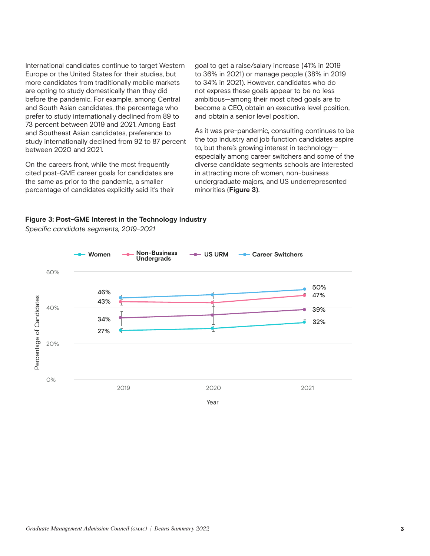International candidates continue to target Western Europe or the United States for their studies, but more candidates from traditionally mobile markets are opting to study domestically than they did before the pandemic. For example, among Central and South Asian candidates, the percentage who prefer to study internationally declined from 89 to 73 percent between 2019 and 2021. Among East and Southeast Asian candidates, preference to study internationally declined from 92 to 87 percent between 2020 and 2021.

On the careers front, while the most frequently cited post-GME career goals for candidates are the same as prior to the pandemic, a smaller percentage of candidates explicitly said it's their goal to get a raise/salary increase (41% in 2019 to 36% in 2021) or manage people (38% in 2019 to 34% in 2021). However, candidates who do not express these goals appear to be no less ambitious—among their most cited goals are to become a CEO, obtain an executive level position, and obtain a senior level position.

As it was pre-pandemic, consulting continues to be the top industry and job function candidates aspire to, but there's growing interest in technology especially among career switchers and some of the diverse candidate segments schools are interested in attracting more of: women, non-business undergraduate majors, and US underrepresented minorities (**Figure 3)**.

#### **Figure 3: Post-GME Interest in the Technology Industry**



*Specific candidate segments, 2019-2021*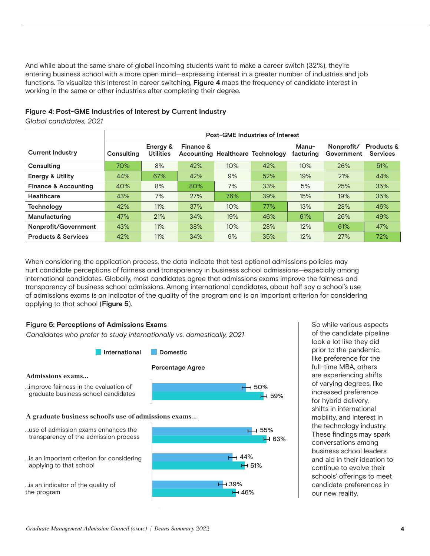And while about the same share of global incoming students want to make a career switch (32%), they're entering business school with a more open mind—expressing interest in a greater number of industries and job functions. To visualize this interest in career switching, **Figure 4** maps the frequency of candidate interest in working in the same or other industries after completing their degree.

#### **Figure 4: Post-GME Industries of Interest by Current Industry**

*Global candidates, 2021*

|                                 | <b>Post-GME Industries of Interest</b> |                              |           |                                         |     |                    |                          |                                          |  |
|---------------------------------|----------------------------------------|------------------------------|-----------|-----------------------------------------|-----|--------------------|--------------------------|------------------------------------------|--|
| <b>Current Industry</b>         | Consulting                             | Energy &<br><b>Utilities</b> | Finance & | <b>Accounting Healthcare Technology</b> |     | Manu-<br>facturing | Nonprofit/<br>Government | <b>Products &amp;</b><br><b>Services</b> |  |
| Consulting                      | 70%                                    | 8%                           | 42%       | 10%                                     | 42% | 10%                | 26%                      | 51%                                      |  |
| <b>Energy &amp; Utility</b>     | 44%                                    | 67%                          | 42%       | 9%                                      | 52% | 19%                | 21%                      | 44%                                      |  |
| <b>Finance &amp; Accounting</b> | 40%                                    | 8%                           | 80%       | 7%                                      | 33% | 5%                 | 25%                      | 35%                                      |  |
| Healthcare                      | 43%                                    | 7%                           | 27%       | 76%                                     | 39% | 15%                | 19%                      | 35%                                      |  |
| <b>Technology</b>               | 42%                                    | 11%                          | 37%       | 10%                                     | 77% | 13%                | 28%                      | 46%                                      |  |
| Manufacturing                   | 47%                                    | 21%                          | 34%       | 19%                                     | 46% | 61%                | 26%                      | 49%                                      |  |
| Nonprofit/Government            | 43%                                    | 11%                          | 38%       | 10%                                     | 28% | 12%                | 61%                      | 47%                                      |  |
| <b>Products &amp; Services</b>  | 42%                                    | 11%                          | 34%       | 9%                                      | 35% | 12%                | 27%                      | 72%                                      |  |

When considering the application process, the data indicate that test optional admissions policies may hurt candidate perceptions of fairness and transparency in business school admissions—especially among international candidates. Globally, most candidates agree that admissions exams improve the fairness and transparency of business school admissions. Among international candidates, about half say a school's use of admissions exams is an indicator of the quality of the program and is an important criterion for considering applying to that school (**Figure 5**).



So while various aspects of the candidate pipeline look a lot like they did prior to the pandemic, like preference for the full-time MBA, others are experiencing shifts of varying degrees, like increased preference for hybrid delivery, shifts in international mobility, and interest in the technology industry. These findings may spark conversations among business school leaders and aid in their ideation to continue to evolve their schools' offerings to meet candidate preferences in our new reality.